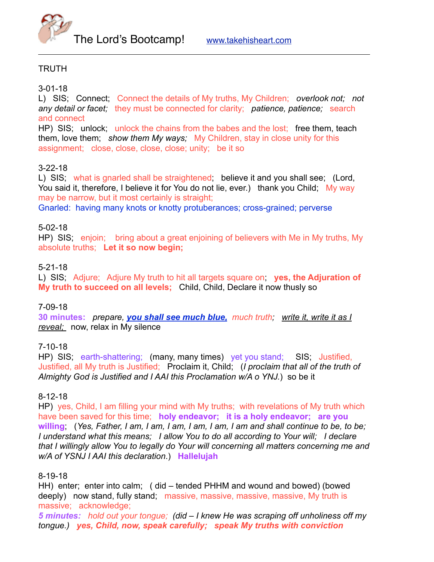

#### **TRUTH**

3-01-18

L) SIS; Connect; Connect the details of My truths, My Children; *overlook not; not any detail or facet;* they must be connected for clarity; *patience, patience;* search and connect

HP) SIS; unlock; unlock the chains from the babes and the lost; free them, teach them, love them; *show them My ways;* My Children, stay in close unity for this assignment; close, close, close, close; unity; be it so

#### 3-22-18

L) SIS; what is gnarled shall be straightened; believe it and you shall see; (Lord, You said it, therefore, I believe it for You do not lie, ever.) thank you Child; My way may be narrow, but it most certainly is straight;

Gnarled: having many knots or knotty protuberances; cross-grained; perverse

#### 5-02-18

HP) SIS; enjoin; bring about a great enjoining of believers with Me in My truths, My absolute truths; **Let it so now begin;**

### 5-21-18

L) SIS; Adjure; Adjure My truth to hit all targets square on; **yes, the Adjuration of My truth to succeed on all levels;** Child, Child, Declare it now thusly so

#### 7-09-18

**30 minutes:** *prepare, you shall see much blue, much truth; write it, write it as I reveal;* now, relax in My silence

## 7-10-18

HP) SIS; earth-shattering; (many, many times) yet you stand; SIS; Justified, Justified, all My truth is Justified; Proclaim it, Child; (*I proclaim that all of the truth of Almighty God is Justified and I AAI this Proclamation w/A o YNJ.*) so be it

#### 8-12-18

HP) yes, Child, I am filling your mind with My truths; with revelations of My truth which have been saved for this time; **holy endeavor; it is a holy endeavor; are you willing**; (*Yes, Father, I am, I am, I am, I am, I am, I am and shall continue to be, to be; I understand what this means; I allow You to do all according to Your will; I declare that I willingly allow You to legally do Your will concerning all matters concerning me and w/A of YSNJ I AAI this declaration*.) **Hallelujah**

#### 8-19-18

HH) enter; enter into calm; ( did – tended PHHM and wound and bowed) (bowed deeply) now stand, fully stand; massive, massive, massive, massive, My truth is massive; acknowledge;

*5 minutes: hold out your tongue; (did – I knew He was scraping off unholiness off my tongue.) yes, Child, now, speak carefully; speak My truths with conviction*